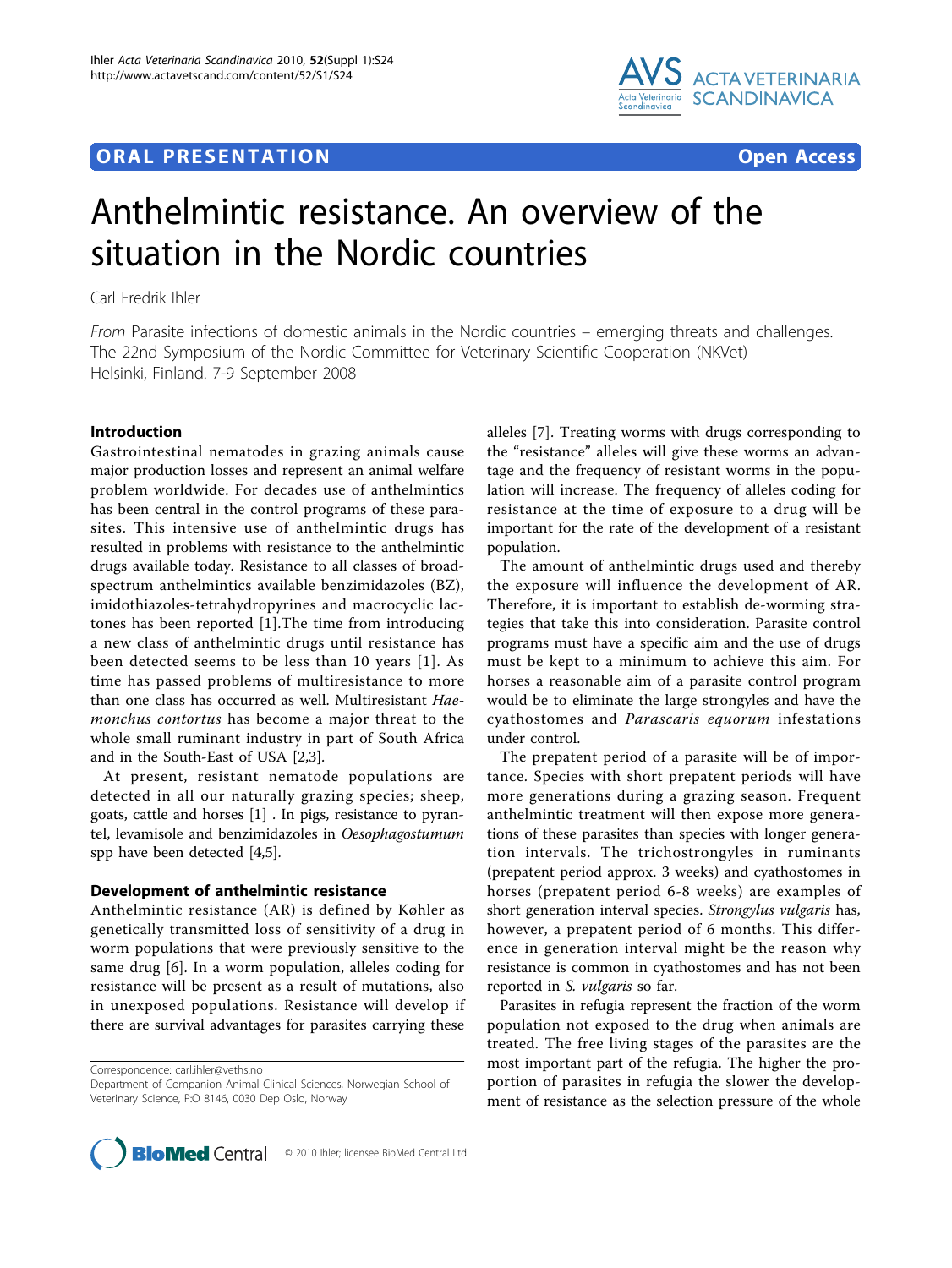# **ORAL PRESENTATION OPEN ACCESS**



# Anthelmintic resistance. An overview of the situation in the Nordic countries

Carl Fredrik Ihler

From Parasite infections of domestic animals in the Nordic countries – emerging threats and challenges. The 22nd Symposium of the Nordic Committee for Veterinary Scientific Cooperation (NKVet) Helsinki, Finland. 7-9 September 2008

## Introduction

Gastrointestinal nematodes in grazing animals cause major production losses and represent an animal welfare problem worldwide. For decades use of anthelmintics has been central in the control programs of these parasites. This intensive use of anthelmintic drugs has resulted in problems with resistance to the anthelmintic drugs available today. Resistance to all classes of broadspectrum anthelmintics available benzimidazoles (BZ), imidothiazoles-tetrahydropyrines and macrocyclic lactones has been reported [\[1](#page-3-0)].The time from introducing a new class of anthelmintic drugs until resistance has been detected seems to be less than 10 years [[1\]](#page-3-0). As time has passed problems of multiresistance to more than one class has occurred as well. Multiresistant Haemonchus contortus has become a major threat to the whole small ruminant industry in part of South Africa and in the South-East of USA [\[2,3](#page-3-0)].

At present, resistant nematode populations are detected in all our naturally grazing species; sheep, goats, cattle and horses [\[1\]](#page-3-0) . In pigs, resistance to pyrantel, levamisole and benzimidazoles in Oesophagostumum spp have been detected [[4,5\]](#page-3-0).

#### Development of anthelmintic resistance

Anthelmintic resistance (AR) is defined by Køhler as genetically transmitted loss of sensitivity of a drug in worm populations that were previously sensitive to the same drug [[6\]](#page-3-0). In a worm population, alleles coding for resistance will be present as a result of mutations, also in unexposed populations. Resistance will develop if there are survival advantages for parasites carrying these

Correspondence: [carl.ihler@veths.no](mailto:carl.ihler@veths.no)

alleles [\[7](#page-3-0)]. Treating worms with drugs corresponding to the "resistance" alleles will give these worms an advantage and the frequency of resistant worms in the population will increase. The frequency of alleles coding for resistance at the time of exposure to a drug will be important for the rate of the development of a resistant population.

The amount of anthelmintic drugs used and thereby the exposure will influence the development of AR. Therefore, it is important to establish de-worming strategies that take this into consideration. Parasite control programs must have a specific aim and the use of drugs must be kept to a minimum to achieve this aim. For horses a reasonable aim of a parasite control program would be to eliminate the large strongyles and have the cyathostomes and Parascaris equorum infestations under control.

The prepatent period of a parasite will be of importance. Species with short prepatent periods will have more generations during a grazing season. Frequent anthelmintic treatment will then expose more generations of these parasites than species with longer generation intervals. The trichostrongyles in ruminants (prepatent period approx. 3 weeks) and cyathostomes in horses (prepatent period 6-8 weeks) are examples of short generation interval species. Strongylus vulgaris has, however, a prepatent period of 6 months. This difference in generation interval might be the reason why resistance is common in cyathostomes and has not been reported in S. vulgaris so far.

Parasites in refugia represent the fraction of the worm population not exposed to the drug when animals are treated. The free living stages of the parasites are the most important part of the refugia. The higher the proportion of parasites in refugia the slower the development of resistance as the selection pressure of the whole



Department of Companion Animal Clinical Sciences, Norwegian School of Veterinary Science, P:O 8146, 0030 Dep Oslo, Norway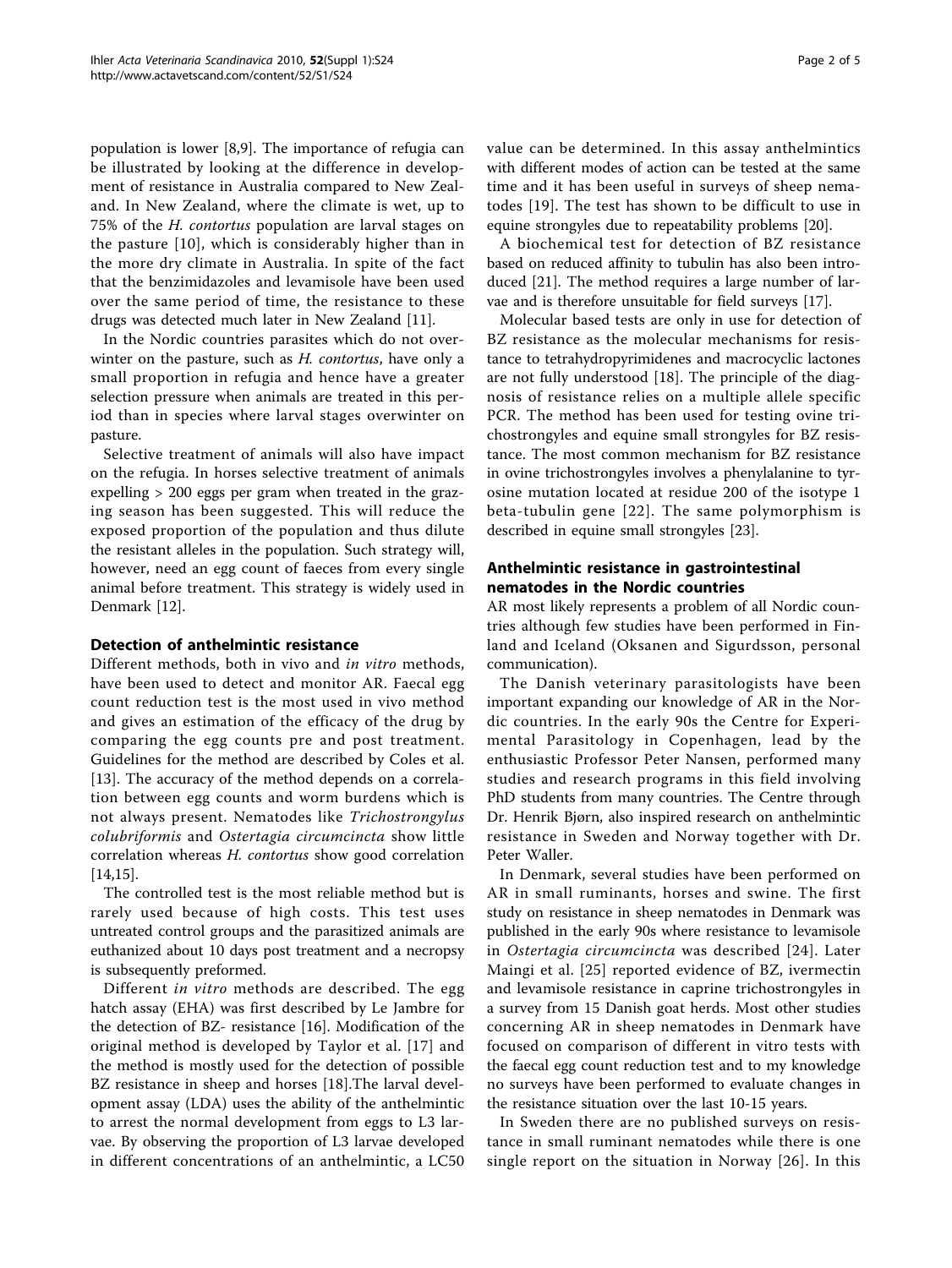population is lower [\[8,9](#page-3-0)]. The importance of refugia can be illustrated by looking at the difference in development of resistance in Australia compared to New Zealand. In New Zealand, where the climate is wet, up to 75% of the H. contortus population are larval stages on the pasture [\[10\]](#page-3-0), which is considerably higher than in the more dry climate in Australia. In spite of the fact that the benzimidazoles and levamisole have been used over the same period of time, the resistance to these drugs was detected much later in New Zealand [[11](#page-3-0)].

In the Nordic countries parasites which do not overwinter on the pasture, such as *H. contortus*, have only a small proportion in refugia and hence have a greater selection pressure when animals are treated in this period than in species where larval stages overwinter on pasture.

Selective treatment of animals will also have impact on the refugia. In horses selective treatment of animals expelling > 200 eggs per gram when treated in the grazing season has been suggested. This will reduce the exposed proportion of the population and thus dilute the resistant alleles in the population. Such strategy will, however, need an egg count of faeces from every single animal before treatment. This strategy is widely used in Denmark [\[12\]](#page-3-0).

### Detection of anthelmintic resistance

Different methods, both in vivo and in vitro methods, have been used to detect and monitor AR. Faecal egg count reduction test is the most used in vivo method and gives an estimation of the efficacy of the drug by comparing the egg counts pre and post treatment. Guidelines for the method are described by Coles et al. [[13\]](#page-3-0). The accuracy of the method depends on a correlation between egg counts and worm burdens which is not always present. Nematodes like Trichostrongylus colubriformis and Ostertagia circumcincta show little correlation whereas H. contortus show good correlation [[14,15\]](#page-3-0).

The controlled test is the most reliable method but is rarely used because of high costs. This test uses untreated control groups and the parasitized animals are euthanized about 10 days post treatment and a necropsy is subsequently preformed.

Different in vitro methods are described. The egg hatch assay (EHA) was first described by Le Jambre for the detection of BZ- resistance [[16](#page-3-0)]. Modification of the original method is developed by Taylor et al. [[17](#page-3-0)] and the method is mostly used for the detection of possible BZ resistance in sheep and horses [\[18\]](#page-3-0).The larval development assay (LDA) uses the ability of the anthelmintic to arrest the normal development from eggs to L3 larvae. By observing the proportion of L3 larvae developed in different concentrations of an anthelmintic, a LC50 value can be determined. In this assay anthelmintics with different modes of action can be tested at the same time and it has been useful in surveys of sheep nematodes [[19\]](#page-3-0). The test has shown to be difficult to use in equine strongyles due to repeatability problems [[20\]](#page-3-0).

A biochemical test for detection of BZ resistance based on reduced affinity to tubulin has also been introduced [[21\]](#page-3-0). The method requires a large number of larvae and is therefore unsuitable for field surveys [[17\]](#page-3-0).

Molecular based tests are only in use for detection of BZ resistance as the molecular mechanisms for resistance to tetrahydropyrimidenes and macrocyclic lactones are not fully understood [\[18](#page-3-0)]. The principle of the diagnosis of resistance relies on a multiple allele specific PCR. The method has been used for testing ovine trichostrongyles and equine small strongyles for BZ resistance. The most common mechanism for BZ resistance in ovine trichostrongyles involves a phenylalanine to tyrosine mutation located at residue 200 of the isotype 1 beta-tubulin gene [[22\]](#page-3-0). The same polymorphism is described in equine small strongyles [[23\]](#page-3-0).

# Anthelmintic resistance in gastrointestinal nematodes in the Nordic countries

AR most likely represents a problem of all Nordic countries although few studies have been performed in Finland and Iceland (Oksanen and Sigurdsson, personal communication).

The Danish veterinary parasitologists have been important expanding our knowledge of AR in the Nordic countries. In the early 90s the Centre for Experimental Parasitology in Copenhagen, lead by the enthusiastic Professor Peter Nansen, performed many studies and research programs in this field involving PhD students from many countries. The Centre through Dr. Henrik Bjørn, also inspired research on anthelmintic resistance in Sweden and Norway together with Dr. Peter Waller.

In Denmark, several studies have been performed on AR in small ruminants, horses and swine. The first study on resistance in sheep nematodes in Denmark was published in the early 90s where resistance to levamisole in Ostertagia circumcincta was described [[24](#page-3-0)]. Later Maingi et al. [[25](#page-3-0)] reported evidence of BZ, ivermectin and levamisole resistance in caprine trichostrongyles in a survey from 15 Danish goat herds. Most other studies concerning AR in sheep nematodes in Denmark have focused on comparison of different in vitro tests with the faecal egg count reduction test and to my knowledge no surveys have been performed to evaluate changes in the resistance situation over the last 10-15 years.

In Sweden there are no published surveys on resistance in small ruminant nematodes while there is one single report on the situation in Norway [[26\]](#page-3-0). In this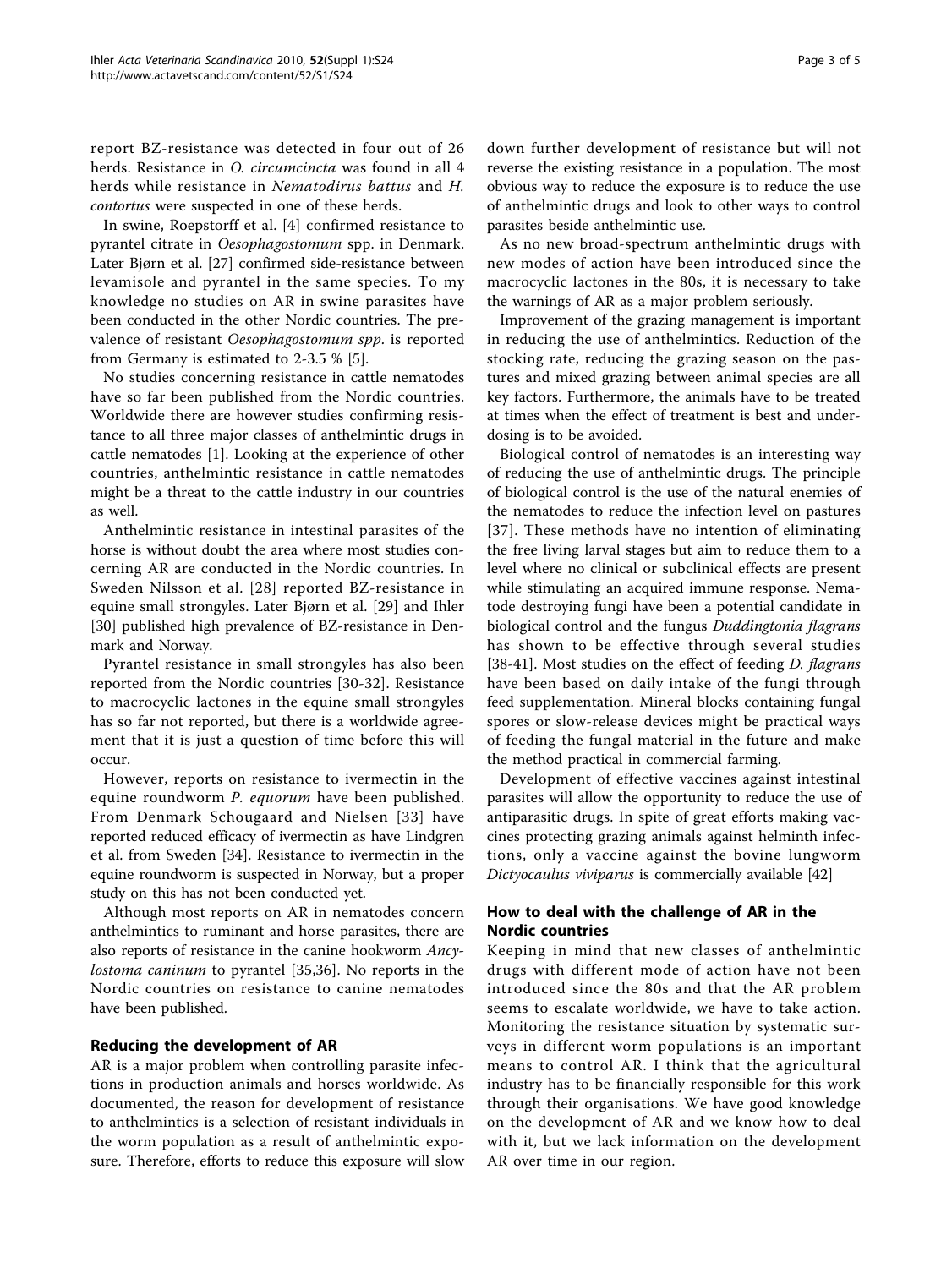report BZ-resistance was detected in four out of 26 herds. Resistance in *O. circumcincta* was found in all 4 herds while resistance in Nematodirus battus and H. contortus were suspected in one of these herds.

In swine, Roepstorff et al. [[4\]](#page-3-0) confirmed resistance to pyrantel citrate in Oesophagostomum spp. in Denmark. Later Bjørn et al. [\[27\]](#page-3-0) confirmed side-resistance between levamisole and pyrantel in the same species. To my knowledge no studies on AR in swine parasites have been conducted in the other Nordic countries. The prevalence of resistant Oesophagostomum spp. is reported from Germany is estimated to 2-3.5 % [[5](#page-3-0)].

No studies concerning resistance in cattle nematodes have so far been published from the Nordic countries. Worldwide there are however studies confirming resistance to all three major classes of anthelmintic drugs in cattle nematodes [[1\]](#page-3-0). Looking at the experience of other countries, anthelmintic resistance in cattle nematodes might be a threat to the cattle industry in our countries as well.

Anthelmintic resistance in intestinal parasites of the horse is without doubt the area where most studies concerning AR are conducted in the Nordic countries. In Sweden Nilsson et al. [[28](#page-3-0)] reported BZ-resistance in equine small strongyles. Later Bjørn et al. [\[29](#page-3-0)] and Ihler [[30\]](#page-3-0) published high prevalence of BZ-resistance in Denmark and Norway.

Pyrantel resistance in small strongyles has also been reported from the Nordic countries [\[30-32](#page-3-0)]. Resistance to macrocyclic lactones in the equine small strongyles has so far not reported, but there is a worldwide agreement that it is just a question of time before this will occur.

However, reports on resistance to ivermectin in the equine roundworm P. equorum have been published. From Denmark Schougaard and Nielsen [\[33](#page-3-0)] have reported reduced efficacy of ivermectin as have Lindgren et al. from Sweden [[34\]](#page-3-0). Resistance to ivermectin in the equine roundworm is suspected in Norway, but a proper study on this has not been conducted yet.

Although most reports on AR in nematodes concern anthelmintics to ruminant and horse parasites, there are also reports of resistance in the canine hookworm Ancylostoma caninum to pyrantel [\[35](#page-3-0),[36\]](#page-3-0). No reports in the Nordic countries on resistance to canine nematodes have been published.

#### Reducing the development of AR

AR is a major problem when controlling parasite infections in production animals and horses worldwide. As documented, the reason for development of resistance to anthelmintics is a selection of resistant individuals in the worm population as a result of anthelmintic exposure. Therefore, efforts to reduce this exposure will slow down further development of resistance but will not reverse the existing resistance in a population. The most obvious way to reduce the exposure is to reduce the use of anthelmintic drugs and look to other ways to control parasites beside anthelmintic use.

As no new broad-spectrum anthelmintic drugs with new modes of action have been introduced since the macrocyclic lactones in the 80s, it is necessary to take the warnings of AR as a major problem seriously.

Improvement of the grazing management is important in reducing the use of anthelmintics. Reduction of the stocking rate, reducing the grazing season on the pastures and mixed grazing between animal species are all key factors. Furthermore, the animals have to be treated at times when the effect of treatment is best and underdosing is to be avoided.

Biological control of nematodes is an interesting way of reducing the use of anthelmintic drugs. The principle of biological control is the use of the natural enemies of the nematodes to reduce the infection level on pastures [[37](#page-3-0)]. These methods have no intention of eliminating the free living larval stages but aim to reduce them to a level where no clinical or subclinical effects are present while stimulating an acquired immune response. Nematode destroying fungi have been a potential candidate in biological control and the fungus Duddingtonia flagrans has shown to be effective through several studies [[38-41\]](#page-3-0). Most studies on the effect of feeding *D. flagrans* have been based on daily intake of the fungi through feed supplementation. Mineral blocks containing fungal spores or slow-release devices might be practical ways of feeding the fungal material in the future and make the method practical in commercial farming.

Development of effective vaccines against intestinal parasites will allow the opportunity to reduce the use of antiparasitic drugs. In spite of great efforts making vaccines protecting grazing animals against helminth infections, only a vaccine against the bovine lungworm Dictyocaulus viviparus is commercially available [\[42](#page-4-0)]

# How to deal with the challenge of AR in the Nordic countries

Keeping in mind that new classes of anthelmintic drugs with different mode of action have not been introduced since the 80s and that the AR problem seems to escalate worldwide, we have to take action. Monitoring the resistance situation by systematic surveys in different worm populations is an important means to control AR. I think that the agricultural industry has to be financially responsible for this work through their organisations. We have good knowledge on the development of AR and we know how to deal with it, but we lack information on the development AR over time in our region.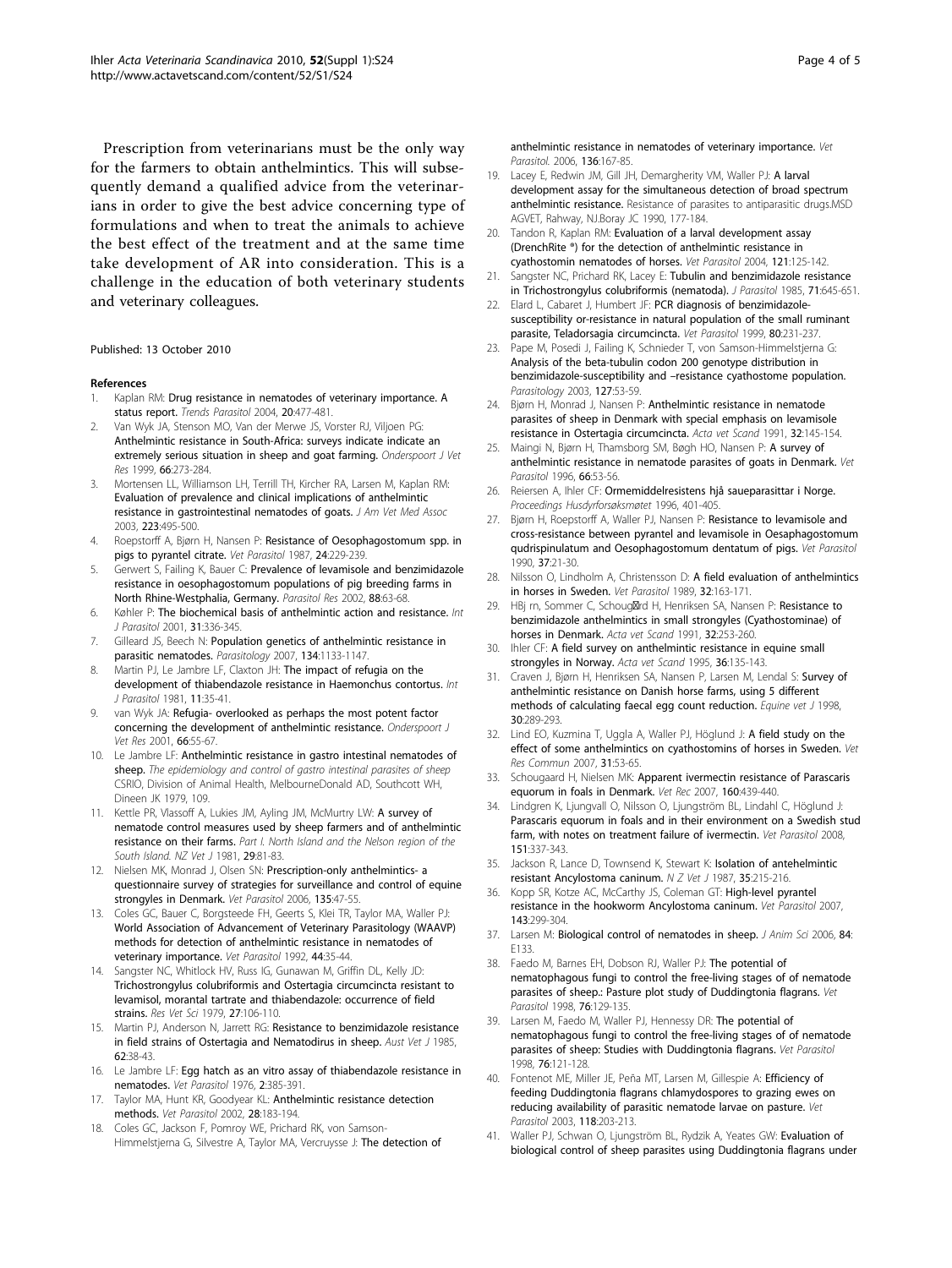<span id="page-3-0"></span>Prescription from veterinarians must be the only way for the farmers to obtain anthelmintics. This will subsequently demand a qualified advice from the veterinarians in order to give the best advice concerning type of formulations and when to treat the animals to achieve the best effect of the treatment and at the same time take development of AR into consideration. This is a challenge in the education of both veterinary students and veterinary colleagues.

#### Published: 13 October 2010

#### References

- 1. Kaplan RM: [Drug resistance in nematodes of veterinary importance. A](http://www.ncbi.nlm.nih.gov/pubmed/15363441?dopt=Abstract) [status report.](http://www.ncbi.nlm.nih.gov/pubmed/15363441?dopt=Abstract) Trends Parasitol 2004, 20:477-481.
- 2. Van Wyk JA, Stenson MO, Van der Merwe JS, Vorster RJ, Viljoen PG: Anthelmintic resistance in South-Africa: surveys indicate indicate an extremely serious situation in sheep and goat farming. Onderspoort J Vet Res 1999, 66:273-284.
- 3. Mortensen LL, Williamson LH, Terrill TH, Kircher RA, Larsen M, Kaplan RM: [Evaluation of prevalence and clinical implications of anthelmintic](http://www.ncbi.nlm.nih.gov/pubmed/12930089?dopt=Abstract) [resistance in gastrointestinal nematodes of goats.](http://www.ncbi.nlm.nih.gov/pubmed/12930089?dopt=Abstract) J Am Vet Med Assoc 2003, 223:495-500.
- 4. Roepstorff A, Bjørn H, Nansen P: [Resistance of Oesophagostomum spp. in](http://www.ncbi.nlm.nih.gov/pubmed/2956755?dopt=Abstract) [pigs to pyrantel citrate.](http://www.ncbi.nlm.nih.gov/pubmed/2956755?dopt=Abstract) Vet Parasitol 1987, 24:229-239.
- 5. Gerwert S, Failing K, Bauer C: [Prevalence of levamisole and benzimidazole](http://www.ncbi.nlm.nih.gov/pubmed/11822739?dopt=Abstract) [resistance in oesophagostomum populations of pig breeding farms in](http://www.ncbi.nlm.nih.gov/pubmed/11822739?dopt=Abstract) [North Rhine-Westphalia, Germany.](http://www.ncbi.nlm.nih.gov/pubmed/11822739?dopt=Abstract) Parasitol Res 2002, 88:63-68.
- 6. Køhler P: [The biochemical basis of anthelmintic action and resistance.](http://www.ncbi.nlm.nih.gov/pubmed/11400692?dopt=Abstract) Int J Parasitol 2001, 31:336-345.
- 7. Gilleard JS, Beech N: [Population genetics of anthelmintic resistance in](http://www.ncbi.nlm.nih.gov/pubmed/17608973?dopt=Abstract) [parasitic nematodes.](http://www.ncbi.nlm.nih.gov/pubmed/17608973?dopt=Abstract) Parasitology 2007, 134:1133-1147.
- 8. Martin PJ, Le Jambre LF, Claxton JH: [The impact of refugia on the](http://www.ncbi.nlm.nih.gov/pubmed/7228476?dopt=Abstract) [development of thiabendazole resistance in Haemonchus contortus.](http://www.ncbi.nlm.nih.gov/pubmed/7228476?dopt=Abstract) Int J Parasitol 1981, 11:35-41.
- 9. van Wyk JA: Refugia- overlooked as perhaps the most potent factor concerning the development of anthelmintic resistance. Onderspoort J Vet Res 2001, 66:55-67.
- 10. Le Jambre LF: Anthelmintic resistance in gastro intestinal nematodes of sheep. The epidemiology and control of gastro intestinal parasites of sheep CSRIO, Division of Animal Health, MelbourneDonald AD, Southcott WH, Dineen JK 1979, 109.
- 11. Kettle PR, Vlassoff A, Lukies JM, Ayling JM, McMurtry LW: A survey of nematode control measures used by sheep farmers and of anthelmintic resistance on their farms. Part I. North Island and the Nelson region of the South Island. NZ Vet 1 1981, 29:81-83.
- 12. Nielsen MK, Monrad J, Olsen SN: [Prescription-only anthelmintics- a](http://www.ncbi.nlm.nih.gov/pubmed/16309841?dopt=Abstract) [questionnaire survey of strategies for surveillance and control of equine](http://www.ncbi.nlm.nih.gov/pubmed/16309841?dopt=Abstract) [strongyles in Denmark.](http://www.ncbi.nlm.nih.gov/pubmed/16309841?dopt=Abstract) Vet Parasitol 2006, 135:47-55.
- 13. Coles GC, Bauer C, Borgsteede FH, Geerts S, Klei TR, Taylor MA, Waller PJ: [World Association of Advancement of Veterinary Parasitology \(WAAVP\)](http://www.ncbi.nlm.nih.gov/pubmed/1441190?dopt=Abstract) [methods for detection of anthelmintic resistance in nematodes of](http://www.ncbi.nlm.nih.gov/pubmed/1441190?dopt=Abstract) [veterinary importance.](http://www.ncbi.nlm.nih.gov/pubmed/1441190?dopt=Abstract) Vet Parasitol 1992, 44:35-44.
- 14. Sangster NC, Whitlock HV, Russ IG, Gunawan M, Griffin DL, Kelly JD: [Trichostrongylus colubriformis and Ostertagia circumcincta resistant to](http://www.ncbi.nlm.nih.gov/pubmed/504797?dopt=Abstract) [levamisol, morantal tartrate and thiabendazole: occurrence of field](http://www.ncbi.nlm.nih.gov/pubmed/504797?dopt=Abstract) [strains.](http://www.ncbi.nlm.nih.gov/pubmed/504797?dopt=Abstract) Res Vet Sci 1979, 27:106-110.
- 15. Martin PJ, Anderson N, Jarrett RG: [Resistance to benzimidazole resistance](http://www.ncbi.nlm.nih.gov/pubmed/3994603?dopt=Abstract) [in field strains of Ostertagia and Nematodirus in sheep.](http://www.ncbi.nlm.nih.gov/pubmed/3994603?dopt=Abstract) Aust Vet J 1985, 62:38-43.
- 16. Le Jambre LF: Egg hatch as an vitro assay of thiabendazole resistance in nematodes. Vet Parasitol 1976, 2:385-391.
- 17. Taylor MA, Hunt KR, Goodyear KL: Anthelmintic resistance detection methods. Vet Parasitol 2002, 28:183-194.
- 18. Coles GC, Jackson F, Pomroy WE, Prichard RK, von Samson-Himmelstjerna G, Silvestre A, Taylor MA, Vercruysse J: [The detection of](http://www.ncbi.nlm.nih.gov/pubmed/16427201?dopt=Abstract)

- [anthelmintic resistance in nematodes of veterinary importance.](http://www.ncbi.nlm.nih.gov/pubmed/16427201?dopt=Abstract) Vet Parasitol. 2006, 136:167-85. 19. Lacey E, Redwin JM, Gill JH, Demargherity VM, Waller PJ: A larval development assay for the simultaneous detection of broad spectrum
- anthelmintic resistance. Resistance of parasites to antiparasitic drugs.MSD AGVET, Rahway, NJ.Boray JC 1990, 177-184.
- 20. Tandon R, Kaplan RM: [Evaluation of a larval development assay](http://www.ncbi.nlm.nih.gov/pubmed/15110410?dopt=Abstract) [\(DrenchRite ®\) for the detection of anthelmintic resistance in](http://www.ncbi.nlm.nih.gov/pubmed/15110410?dopt=Abstract) [cyathostomin nematodes of horses.](http://www.ncbi.nlm.nih.gov/pubmed/15110410?dopt=Abstract) Vet Parasitol 2004, 121:125-142.
- 21. Sangster NC, Prichard RK, Lacey E: [Tubulin and benzimidazole resistance](http://www.ncbi.nlm.nih.gov/pubmed/3840531?dopt=Abstract) [in Trichostrongylus colubriformis \(nematoda\).](http://www.ncbi.nlm.nih.gov/pubmed/3840531?dopt=Abstract) J Parasitol 1985, 71:645-651.
- 22. Elard L, Cabaret J, Humbert JF: [PCR diagnosis of benzimidazole](http://www.ncbi.nlm.nih.gov/pubmed/9950346?dopt=Abstract)[susceptibility or-resistance in natural population of the small ruminant](http://www.ncbi.nlm.nih.gov/pubmed/9950346?dopt=Abstract) [parasite, Teladorsagia circumcincta.](http://www.ncbi.nlm.nih.gov/pubmed/9950346?dopt=Abstract) Vet Parasitol 1999, 80:231-237.
- 23. Pape M, Posedi J, Failing K, Schnieder T, von Samson-Himmelstierna G: [Analysis of the beta-tubulin codon 200 genotype distribution in](http://www.ncbi.nlm.nih.gov/pubmed/12885188?dopt=Abstract) benzimidazole-susceptibility and –[resistance cyathostome population.](http://www.ncbi.nlm.nih.gov/pubmed/12885188?dopt=Abstract) Parasitology 2003, 127:53-59.
- 24. Bjørn H, Monrad J, Nansen P: [Anthelmintic resistance in nematode](http://www.ncbi.nlm.nih.gov/pubmed/1803927?dopt=Abstract) [parasites of sheep in Denmark with special emphasis on levamisole](http://www.ncbi.nlm.nih.gov/pubmed/1803927?dopt=Abstract) [resistance in Ostertagia circumcincta.](http://www.ncbi.nlm.nih.gov/pubmed/1803927?dopt=Abstract) Acta vet Scand 1991, 32:145-154.
- 25. Maingi N, Bjørn H, Thamsborg SM, Bøgh HO, Nansen P: [A survey of](http://www.ncbi.nlm.nih.gov/pubmed/8988556?dopt=Abstract) [anthelmintic resistance in nematode parasites of goats in Denmark.](http://www.ncbi.nlm.nih.gov/pubmed/8988556?dopt=Abstract) Vet Parasitol 1996, 66:53-56.
- 26. Reiersen A, Ihler CF: Ormemiddelresistens hiå saueparasittar i Norge. Proceedings Husdyrforsøksmøtet 1996, 401-405.
- 27. Bjørn H, Roepstorff A, Waller PJ, Nansen P: [Resistance to levamisole and](http://www.ncbi.nlm.nih.gov/pubmed/2146796?dopt=Abstract) [cross-resistance between pyrantel and levamisole in Oesaphagostomum](http://www.ncbi.nlm.nih.gov/pubmed/2146796?dopt=Abstract) [qudrispinulatum and Oesophagostomum dentatum of pigs.](http://www.ncbi.nlm.nih.gov/pubmed/2146796?dopt=Abstract) Vet Parasitol 1990, 37:21-30.
- 28. Nilsson O, Lindholm A, Christensson D: [A field evaluation of anthelmintics](http://www.ncbi.nlm.nih.gov/pubmed/2773268?dopt=Abstract) [in horses in Sweden.](http://www.ncbi.nlm.nih.gov/pubmed/2773268?dopt=Abstract) Vet Parasitol 1989, 32:163-171.
- 29. HBj rn, Sommer C, Schoug Mrd H, Henriksen SA, Nansen P; [Resistance to](http://www.ncbi.nlm.nih.gov/pubmed/1803938?dopt=Abstract) [benzimidazole anthelmintics in small strongyles \(Cyathostominae\) of](http://www.ncbi.nlm.nih.gov/pubmed/1803938?dopt=Abstract) [horses in Denmark.](http://www.ncbi.nlm.nih.gov/pubmed/1803938?dopt=Abstract) Acta vet Scand 1991, 32:253-260.
- 30. Ihler CF: [A field survey on anthelmintic resistance in equine small](http://www.ncbi.nlm.nih.gov/pubmed/7572451?dopt=Abstract) [strongyles in Norway.](http://www.ncbi.nlm.nih.gov/pubmed/7572451?dopt=Abstract) Acta vet Scand 1995, 36:135-143.
- 31. Craven J, Bjørn H, Henriksen SA, Nansen P, Larsen M, Lendal S: [Survey of](http://www.ncbi.nlm.nih.gov/pubmed/9705110?dopt=Abstract) [anthelmintic resistance on Danish horse farms, using 5 different](http://www.ncbi.nlm.nih.gov/pubmed/9705110?dopt=Abstract) [methods of calculating faecal egg count reduction.](http://www.ncbi.nlm.nih.gov/pubmed/9705110?dopt=Abstract) Equine vet J 1998, 30:289-293.
- 32. Lind EO, Kuzmina T, Uggla A, Waller PJ, Höglund J: [A field study on the](http://www.ncbi.nlm.nih.gov/pubmed/17186406?dopt=Abstract) [effect of some anthelmintics on cyathostomins of horses in Sweden.](http://www.ncbi.nlm.nih.gov/pubmed/17186406?dopt=Abstract) Vet Res Commun 2007, 31:53-65.
- 33. Schougaard H, Nielsen MK: [Apparent ivermectin resistance of Parascaris](http://www.ncbi.nlm.nih.gov/pubmed/17400903?dopt=Abstract) [equorum in foals in Denmark.](http://www.ncbi.nlm.nih.gov/pubmed/17400903?dopt=Abstract) Vet Rec 2007, 160:439-440.
- 34. Lindgren K, Ljungvall O, Nilsson O, Ljungström BL, Lindahl C, Höglund J: [Parascaris equorum in foals and in their environment on a Swedish stud](http://www.ncbi.nlm.nih.gov/pubmed/18077096?dopt=Abstract) [farm, with notes on treatment failure of ivermectin.](http://www.ncbi.nlm.nih.gov/pubmed/18077096?dopt=Abstract) Vet Parasitol 2008, 151:337-343.
- 35. Jackson R, Lance D, Townsend K, Stewart K: [Isolation of antehelmintic](http://www.ncbi.nlm.nih.gov/pubmed/16031355?dopt=Abstract) [resistant Ancylostoma caninum.](http://www.ncbi.nlm.nih.gov/pubmed/16031355?dopt=Abstract) N Z Vet J 1987, 35:215-216.
- Kopp SR, Kotze AC, McCarthy JS, Coleman GT: [High-level pyrantel](http://www.ncbi.nlm.nih.gov/pubmed/17011128?dopt=Abstract) [resistance in the hookworm Ancylostoma caninum.](http://www.ncbi.nlm.nih.gov/pubmed/17011128?dopt=Abstract) Vet Parasitol 2007, 143:299-304.
- 37. Larsen M: [Biological control of nematodes in sheep.](http://www.ncbi.nlm.nih.gov/pubmed/16582084?dopt=Abstract) J Anim Sci 2006, 84: E133.
- 38. Faedo M, Barnes EH, Dobson RJ, Waller PJ: [The potential of](http://www.ncbi.nlm.nih.gov/pubmed/9653997?dopt=Abstract) [nematophagous fungi to control the free-living stages of of nematode](http://www.ncbi.nlm.nih.gov/pubmed/9653997?dopt=Abstract) [parasites of sheep.: Pasture plot study of Duddingtonia flagrans.](http://www.ncbi.nlm.nih.gov/pubmed/9653997?dopt=Abstract) Vet Parasitol 1998, 76:129-135.
- 39. Larsen M, Faedo M, Waller PJ, Hennessy DR: [The potential of](http://www.ncbi.nlm.nih.gov/pubmed/9653996?dopt=Abstract) [nematophagous fungi to control the free-living stages of of nematode](http://www.ncbi.nlm.nih.gov/pubmed/9653996?dopt=Abstract) [parasites of sheep: Studies with Duddingtonia flagrans.](http://www.ncbi.nlm.nih.gov/pubmed/9653996?dopt=Abstract) Vet Parasitol 1998, 76:121-128.
- 40. Fontenot ME, Miller JE, Peña MT, Larsen M, Gillespie A: [Efficiency of](http://www.ncbi.nlm.nih.gov/pubmed/14729168?dopt=Abstract) [feeding Duddingtonia flagrans chlamydospores to grazing ewes on](http://www.ncbi.nlm.nih.gov/pubmed/14729168?dopt=Abstract) [reducing availability of parasitic nematode larvae on pasture.](http://www.ncbi.nlm.nih.gov/pubmed/14729168?dopt=Abstract) Vet Parasitol 2003, 118:203-213.
- 41. Waller PJ, Schwan O, Ljungström BL, Rydzik A, Yeates GW: [Evaluation of](http://www.ncbi.nlm.nih.gov/pubmed/15567593?dopt=Abstract) [biological control of sheep parasites using Duddingtonia flagrans under](http://www.ncbi.nlm.nih.gov/pubmed/15567593?dopt=Abstract)